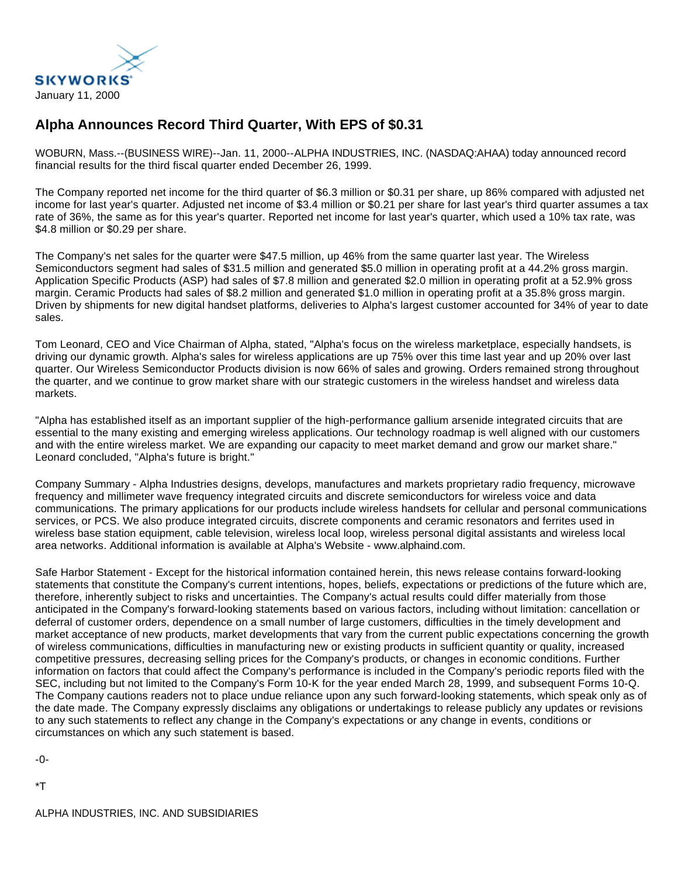

## **Alpha Announces Record Third Quarter, With EPS of \$0.31**

WOBURN, Mass.--(BUSINESS WIRE)--Jan. 11, 2000--ALPHA INDUSTRIES, INC. (NASDAQ:AHAA) today announced record financial results for the third fiscal quarter ended December 26, 1999.

The Company reported net income for the third quarter of \$6.3 million or \$0.31 per share, up 86% compared with adjusted net income for last year's quarter. Adjusted net income of \$3.4 million or \$0.21 per share for last year's third quarter assumes a tax rate of 36%, the same as for this year's quarter. Reported net income for last year's quarter, which used a 10% tax rate, was \$4.8 million or \$0.29 per share.

The Company's net sales for the quarter were \$47.5 million, up 46% from the same quarter last year. The Wireless Semiconductors segment had sales of \$31.5 million and generated \$5.0 million in operating profit at a 44.2% gross margin. Application Specific Products (ASP) had sales of \$7.8 million and generated \$2.0 million in operating profit at a 52.9% gross margin. Ceramic Products had sales of \$8.2 million and generated \$1.0 million in operating profit at a 35.8% gross margin. Driven by shipments for new digital handset platforms, deliveries to Alpha's largest customer accounted for 34% of year to date sales.

Tom Leonard, CEO and Vice Chairman of Alpha, stated, "Alpha's focus on the wireless marketplace, especially handsets, is driving our dynamic growth. Alpha's sales for wireless applications are up 75% over this time last year and up 20% over last quarter. Our Wireless Semiconductor Products division is now 66% of sales and growing. Orders remained strong throughout the quarter, and we continue to grow market share with our strategic customers in the wireless handset and wireless data markets.

"Alpha has established itself as an important supplier of the high-performance gallium arsenide integrated circuits that are essential to the many existing and emerging wireless applications. Our technology roadmap is well aligned with our customers and with the entire wireless market. We are expanding our capacity to meet market demand and grow our market share." Leonard concluded, "Alpha's future is bright."

Company Summary - Alpha Industries designs, develops, manufactures and markets proprietary radio frequency, microwave frequency and millimeter wave frequency integrated circuits and discrete semiconductors for wireless voice and data communications. The primary applications for our products include wireless handsets for cellular and personal communications services, or PCS. We also produce integrated circuits, discrete components and ceramic resonators and ferrites used in wireless base station equipment, cable television, wireless local loop, wireless personal digital assistants and wireless local area networks. Additional information is available at Alpha's Website - www.alphaind.com.

Safe Harbor Statement - Except for the historical information contained herein, this news release contains forward-looking statements that constitute the Company's current intentions, hopes, beliefs, expectations or predictions of the future which are, therefore, inherently subject to risks and uncertainties. The Company's actual results could differ materially from those anticipated in the Company's forward-looking statements based on various factors, including without limitation: cancellation or deferral of customer orders, dependence on a small number of large customers, difficulties in the timely development and market acceptance of new products, market developments that vary from the current public expectations concerning the growth of wireless communications, difficulties in manufacturing new or existing products in sufficient quantity or quality, increased competitive pressures, decreasing selling prices for the Company's products, or changes in economic conditions. Further information on factors that could affect the Company's performance is included in the Company's periodic reports filed with the SEC, including but not limited to the Company's Form 10-K for the year ended March 28, 1999, and subsequent Forms 10-Q. The Company cautions readers not to place undue reliance upon any such forward-looking statements, which speak only as of the date made. The Company expressly disclaims any obligations or undertakings to release publicly any updates or revisions to any such statements to reflect any change in the Company's expectations or any change in events, conditions or circumstances on which any such statement is based.

-0-

\*T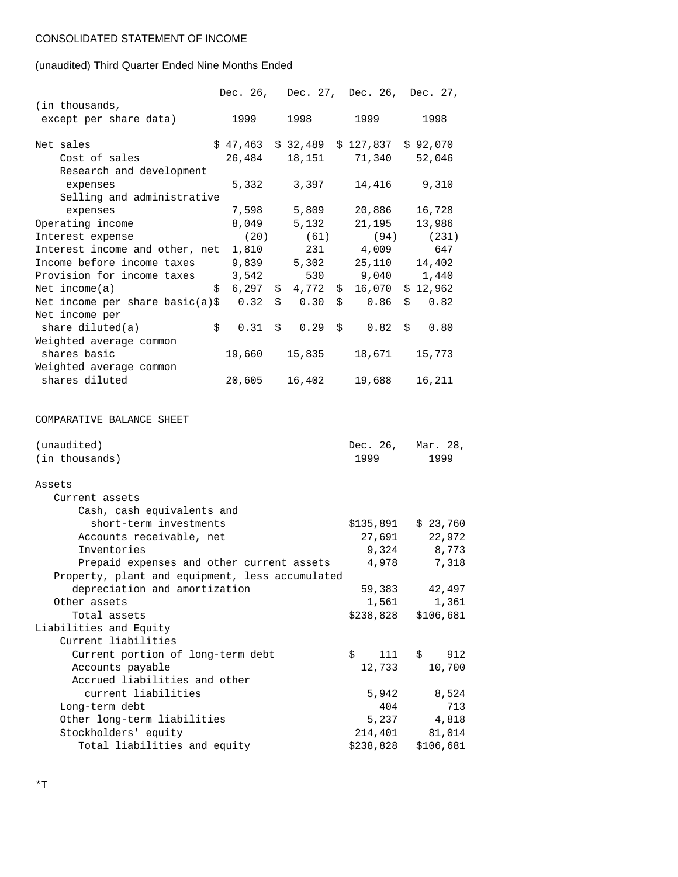## (unaudited) Third Quarter Ended Nine Months Ended

|                                                            |    |       |        |  | Dec. 26, Dec. 27, Dec. 26, Dec. 27,      |  |                     |           |           |       |                           |
|------------------------------------------------------------|----|-------|--------|--|------------------------------------------|--|---------------------|-----------|-----------|-------|---------------------------|
| (in thousands,                                             |    |       |        |  |                                          |  |                     |           |           |       |                           |
| except per share data)                                     |    | 1999  |        |  | 1998                                     |  | 1999                |           | 1998      |       |                           |
| Net sales                                                  |    |       |        |  | $$47,463$ $$32,489$ $$127,837$ $$92,070$ |  |                     |           |           |       |                           |
| Cost of sales                                              |    |       | 26,484 |  | 18,151 71,340                            |  |                     |           |           |       | 52,046                    |
| Research and development                                   |    |       |        |  |                                          |  |                     |           |           |       |                           |
| expenses                                                   |    |       | 5,332  |  | 3,397                                    |  | 14,416              |           |           |       | 9,310                     |
| Selling and administrative                                 |    |       |        |  |                                          |  |                     |           |           |       |                           |
| expenses                                                   |    |       | 7,598  |  | 5,809                                    |  | 20,886              |           |           |       | 16,728                    |
| Operating income                                           |    |       | 8,049  |  | 5,132                                    |  | 21,195              |           |           |       | 13,986                    |
| Interest expense                                           |    | (20)  |        |  | (61)                                     |  | (94)                |           |           | (231) |                           |
| Interest income and other, net                             |    | 1,810 |        |  | 231                                      |  | 4,009               |           |           | 647   |                           |
| Income before income taxes                                 |    | 9,839 |        |  | 5,302                                    |  | 25,110              |           | 14,402    |       |                           |
| Provision for income taxes                                 |    | 3,542 |        |  | 530                                      |  | 9,040               |           |           | 1,440 |                           |
| Net $income(a)$                                            | \$ |       | 6,297  |  | \$4,772                                  |  | \$16,070            |           |           |       | \$12,962                  |
| Net income per share basic(a)\$                            |    |       | 0.32   |  | \$0.30                                   |  | \$0.86              |           |           |       | \$0.82                    |
| Net income per                                             |    |       |        |  |                                          |  |                     |           |           |       |                           |
| share diluted(a)                                           | \$ |       | 0.31   |  | \$0.29                                   |  | $\ddot{\mathsf{S}}$ | 0.82      |           | \$    | 0.80                      |
| Weighted average common                                    |    |       |        |  |                                          |  |                     |           |           |       |                           |
| shares basic                                               |    |       | 19,660 |  | 15,835                                   |  | 18,671              |           |           |       | 15,773                    |
| Weighted average common                                    |    |       |        |  |                                          |  |                     |           |           |       |                           |
| shares diluted                                             |    |       | 20,605 |  | 16,402                                   |  | 19,688              |           |           |       | 16,211                    |
| COMPARATIVE BALANCE SHEET<br>(unaudited)<br>(in thousands) |    |       |        |  |                                          |  | 1999                |           |           |       | Dec. 26, Mar. 28,<br>1999 |
| Assets                                                     |    |       |        |  |                                          |  |                     |           |           |       |                           |
| Current assets                                             |    |       |        |  |                                          |  |                     |           |           |       |                           |
| Cash, cash equivalents and                                 |    |       |        |  |                                          |  |                     |           |           |       |                           |
| short-term investments                                     |    |       |        |  |                                          |  |                     | \$135,891 |           |       | \$23,760                  |
| Accounts receivable, net                                   |    |       |        |  |                                          |  |                     | 27,691    |           |       | 22,972                    |
| Inventories                                                |    |       |        |  |                                          |  |                     | 9,324     |           |       | 8,773                     |
| Prepaid expenses and other current assets                  |    |       |        |  |                                          |  |                     | 4,978     |           |       | 7,318                     |
| Property, plant and equipment, less accumulated            |    |       |        |  |                                          |  |                     |           |           |       |                           |
| depreciation and amortization                              |    |       |        |  |                                          |  |                     | 59,383    |           |       | 42,497                    |
| Other assets                                               |    |       |        |  |                                          |  |                     | 1,561     |           |       | 1,361                     |
| Total assets                                               |    |       |        |  |                                          |  | \$238,828           |           |           |       | \$106,681                 |
| Liabilities and Equity                                     |    |       |        |  |                                          |  |                     |           |           |       |                           |
| Current liabilities                                        |    |       |        |  |                                          |  |                     |           |           |       |                           |
| Current portion of long-term debt                          |    |       |        |  |                                          |  | \$                  | 111       |           | \$.   | 912                       |
| Accounts payable                                           |    |       |        |  |                                          |  |                     | 12,733    |           |       | 10,700                    |
| Accrued liabilities and other                              |    |       |        |  |                                          |  |                     |           |           |       |                           |
| current liabilities                                        |    |       |        |  |                                          |  |                     | 5,942     |           |       | 8,524                     |
| Long-term debt                                             |    |       |        |  |                                          |  |                     | 404       |           |       | 713                       |
| Other long-term liabilities                                |    |       |        |  |                                          |  |                     | 5,237     | 4,818     |       |                           |
| Stockholders' equity                                       |    |       |        |  |                                          |  | 214,401             |           | 81,014    |       |                           |
| Total liabilities and equity                               |    |       |        |  |                                          |  |                     | \$238,828 | \$106,681 |       |                           |